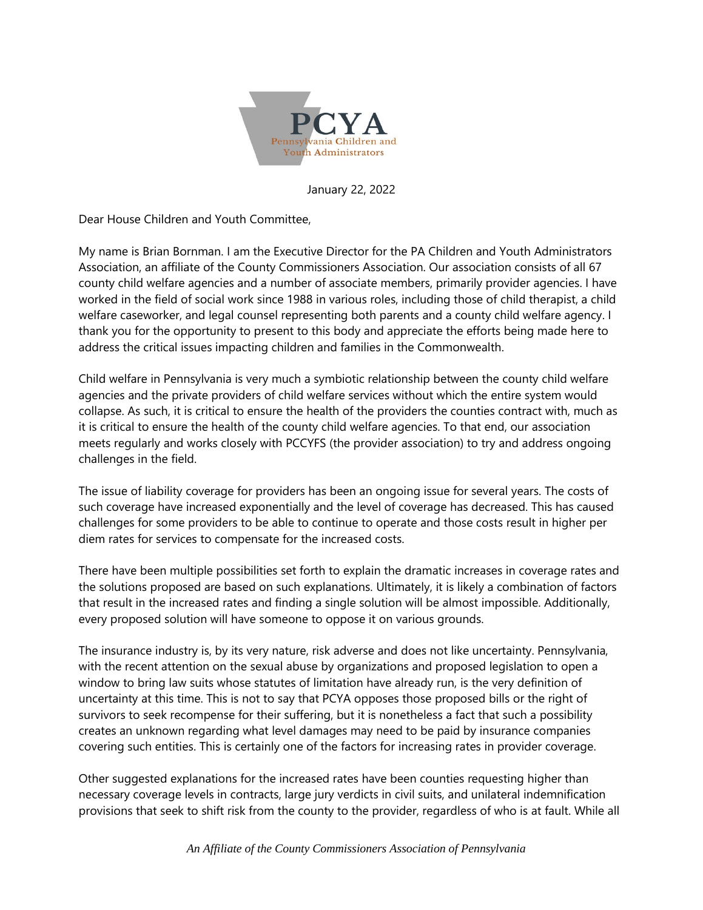

January 22, 2022

Dear House Children and Youth Committee,

My name is Brian Bornman. I am the Executive Director for the PA Children and Youth Administrators Association, an affiliate of the County Commissioners Association. Our association consists of all 67 county child welfare agencies and a number of associate members, primarily provider agencies. I have worked in the field of social work since 1988 in various roles, including those of child therapist, a child welfare caseworker, and legal counsel representing both parents and a county child welfare agency. I thank you for the opportunity to present to this body and appreciate the efforts being made here to address the critical issues impacting children and families in the Commonwealth.

Child welfare in Pennsylvania is very much a symbiotic relationship between the county child welfare agencies and the private providers of child welfare services without which the entire system would collapse. As such, it is critical to ensure the health of the providers the counties contract with, much as it is critical to ensure the health of the county child welfare agencies. To that end, our association meets regularly and works closely with PCCYFS (the provider association) to try and address ongoing challenges in the field.

The issue of liability coverage for providers has been an ongoing issue for several years. The costs of such coverage have increased exponentially and the level of coverage has decreased. This has caused challenges for some providers to be able to continue to operate and those costs result in higher per diem rates for services to compensate for the increased costs.

There have been multiple possibilities set forth to explain the dramatic increases in coverage rates and the solutions proposed are based on such explanations. Ultimately, it is likely a combination of factors that result in the increased rates and finding a single solution will be almost impossible. Additionally, every proposed solution will have someone to oppose it on various grounds.

The insurance industry is, by its very nature, risk adverse and does not like uncertainty. Pennsylvania, with the recent attention on the sexual abuse by organizations and proposed legislation to open a window to bring law suits whose statutes of limitation have already run, is the very definition of uncertainty at this time. This is not to say that PCYA opposes those proposed bills or the right of survivors to seek recompense for their suffering, but it is nonetheless a fact that such a possibility creates an unknown regarding what level damages may need to be paid by insurance companies covering such entities. This is certainly one of the factors for increasing rates in provider coverage.

Other suggested explanations for the increased rates have been counties requesting higher than necessary coverage levels in contracts, large jury verdicts in civil suits, and unilateral indemnification provisions that seek to shift risk from the county to the provider, regardless of who is at fault. While all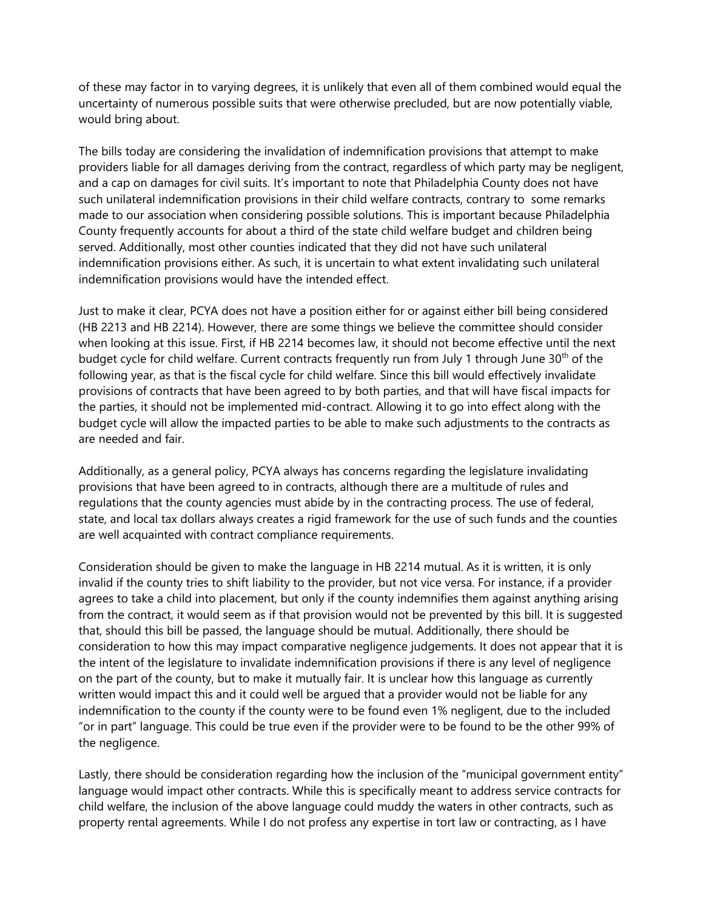of these may factor in to varying degrees, it is unlikely that even all of them combined would equal the uncertainty of numerous possible suits that were otherwise precluded, but are now potentially viable, would bring about.

The bills today are considering the invalidation of indemnification provisions that attempt to make providers liable for all damages deriving from the contract, regardless of which party may be negligent, and a cap on damages for civil suits. It's important to note that Philadelphia County does not have such unilateral indemnification provisions in their child welfare contracts, contrary to some remarks made to our association when considering possible solutions. This is important because Philadelphia County frequently accounts for about a third of the state child welfare budget and children being served. Additionally, most other counties indicated that they did not have such unilateral indemnification provisions either. As such, it is uncertain to what extent invalidating such unilateral indemnification provisions would have the intended effect.

Just to make it clear, PCYA does not have a position either for or against either bill being considered (HB 2213 and HB 2214). However, there are some things we believe the committee should consider when looking at this issue. First, if HB 2214 becomes law, it should not become effective until the next budget cycle for child welfare. Current contracts frequently run from July 1 through June 30<sup>th</sup> of the following year, as that is the fiscal cycle for child welfare. Since this bill would effectively invalidate provisions of contracts that have been agreed to by both parties, and that will have fiscal impacts for the parties, it should not be implemented mid-contract. Allowing it to go into effect along with the budget cycle will allow the impacted parties to be able to make such adjustments to the contracts as are needed and fair.

Additionally, as a general policy, PCYA always has concerns regarding the legislature invalidating provisions that have been agreed to in contracts, although there are a multitude of rules and regulations that the county agencies must abide by in the contracting process. The use of federal, state, and local tax dollars always creates a rigid framework for the use of such funds and the counties are well acquainted with contract compliance requirements.

Consideration should be given to make the language in HB 2214 mutual. As it is written, it is only invalid if the county tries to shift liability to the provider, but not vice versa. For instance, if a provider agrees to take a child into placement, but only if the county indemnifies them against anything arising from the contract, it would seem as if that provision would not be prevented by this bill. It is suggested that, should this bill be passed, the language should be mutual. Additionally, there should be consideration to how this may impact comparative negligence judgements. It does not appear that it is the intent of the legislature to invalidate indemnification provisions if there is any level of negligence on the part of the county, but to make it mutually fair. It is unclear how this language as currently written would impact this and it could well be argued that a provider would not be liable for any indemnification to the county if the county were to be found even 1% negligent, due to the included "or in part" language. This could be true even if the provider were to be found to be the other 99% of the negligence.

Lastly, there should be consideration regarding how the inclusion of the "municipal government entity" language would impact other contracts. While this is specifically meant to address service contracts for child welfare, the inclusion of the above language could muddy the waters in other contracts, such as property rental agreements. While I do not profess any expertise in tort law or contracting, as I have